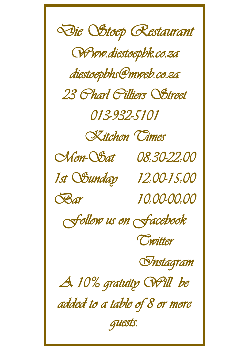*Die Stoep Restaurant Www.diestoepbk.co.za diestoepbhs@mweb.co.za 23 Charl Cilliers Street 013-932-5101 Kitchen Times Mon-Sat 08:30-22:00 1st Sunday 12:00-15:00 Bar 10:00-00:00 Follow us on Facebook Twitter Instagram A 10% gratuity Will be added to a table of 8 or more guests.*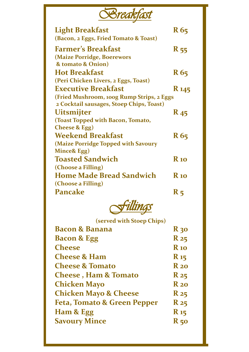| Screak                                    |                        |
|-------------------------------------------|------------------------|
| <b>Light Breakfast</b>                    | R 65                   |
| (Bacon, 2 Eggs, Fried Tomato & Toast)     |                        |
| <b>Farmer's Breakfast</b>                 | <b>R</b> 55            |
| (Maize Porridge, Boerewors                |                        |
| & tomato & Onion)                         |                        |
| <b>Hot Breakfast</b>                      | R 65                   |
| (Peri Chicken Livers, 2 Eggs, Toast)      |                        |
| <b>Executive Breakfast</b>                | <b>R</b> 145           |
| (Fried Mushroom, 100g Rump Strips, 2 Eggs |                        |
| 2 Cocktail sausages, Stoep Chips, Toast)  |                        |
| <b>Uitsmijter</b>                         | <b>R</b> <sub>45</sub> |
| (Toast Topped with Bacon, Tomato,         |                        |
| <b>Cheese &amp; Egg)</b>                  |                        |
| <b>Weekend Breakfast</b>                  | R 65                   |
| (Maize Porridge Topped with Savoury       |                        |
| Mince& Egg)                               |                        |
| <b>Toasted Sandwich</b>                   | <b>R</b> 10            |
| (Choose a Filling)                        |                        |
| <b>Home Made Bread Sandwich</b>           | <b>R</b> 10            |
| (Choose a Filling)                        |                        |
| Pancake                                   | R <sub>5</sub>         |



**(served with Stoep Chips)**

| <b>Bacon &amp; Banana</b>        | <b>R</b> 30       |
|----------------------------------|-------------------|
| <b>Bacon &amp; Egg</b>           | $R_{25}$          |
| <b>Cheese</b>                    | <b>R</b> 10       |
| <b>Cheese &amp; Ham</b>          | $\mathbf{R}_{15}$ |
| <b>Cheese &amp; Tomato</b>       | $R_{20}$          |
| <b>Cheese, Ham &amp; Tomato</b>  | $R_{25}$          |
| <b>Chicken Mayo</b>              | $R_{20}$          |
| <b>Chicken Mayo &amp; Cheese</b> | $R_{25}$          |
| Feta, Tomato & Green Pepper      | R 25              |
| Ham & Egg                        | $\mathbf{R}_{15}$ |
| <b>Savoury Mince</b>             | $R_{50}$          |
|                                  |                   |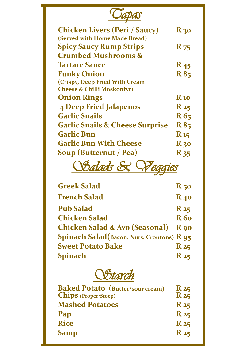| <b>Chicken Livers (Peri / Saucy)</b>       | $R_{30}$        |
|--------------------------------------------|-----------------|
| (Served with Home Made Bread)              |                 |
| <b>Spicy Saucy Rump Strips</b>             | <b>R</b> 75     |
| <b>Crumbed Mushrooms &amp;</b>             |                 |
| <b>Tartare Sauce</b>                       | $R_{45}$        |
| <b>Funky Onion</b>                         | <b>R</b> 85     |
| (Crispy, Deep Fried With Cream             |                 |
| <b>Cheese &amp; Chilli Moskonfyt)</b>      |                 |
| <b>Onion Rings</b>                         | <b>R</b> 10     |
| <b>4 Deep Fried Jalapenos</b>              | $R_{25}$        |
| <b>Garlic Snails</b>                       | R 65            |
| <b>Garlic Snails &amp; Cheese Surprise</b> | <b>R</b> 85     |
| Garlic Bun                                 | $\mathbf{R}$ 15 |
| <b>Garlic Bun With Cheese</b>              | $R_{30}$        |
| Soup (Butternut / Pea)                     | R 35            |

*Salads & Veggies* 

| <b>Greek Salad</b>                                | $R_{50}$    |
|---------------------------------------------------|-------------|
| French Salad                                      | $R_{40}$    |
| <b>Pub Salad</b>                                  | $R_{25}$    |
| Chicken Salad                                     | <b>R</b> 60 |
| <b>Chicken Salad &amp; Avo (Seasonal)</b>         | $R$ 90      |
| <b>Spinach Salad</b> (Bacon, Nuts, Croutons) R 95 |             |
| <b>Sweet Potato Bake</b>                          | $R_{25}$    |
| Spinach                                           | $R_{25}$    |



| <b>Baked Potato</b> (Butter/sour cream)<br>Chips (Proper/Stoep) | $R_{25}$<br>R <sub>25</sub> |
|-----------------------------------------------------------------|-----------------------------|
| <b>Mashed Potatoes</b>                                          | $R_{25}$                    |
| Pap                                                             | $R_{25}$                    |
| <b>Rice</b>                                                     | $R_{25}$                    |
| Samp                                                            | $R_{25}$                    |
|                                                                 |                             |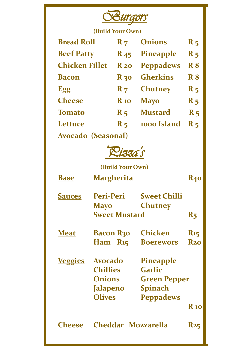

**(Build Your Own)**

| <b>Bread Roll</b>     | $R_{7}$                | <b>Onions</b>    | $R_{5}$        |
|-----------------------|------------------------|------------------|----------------|
| <b>Beef Patty</b>     | <b>R</b> <sub>45</sub> | <b>Pineapple</b> | $R_{5}$        |
| <b>Chicken Fillet</b> | $R_{20}$               | <b>Peppadews</b> | <b>R8</b>      |
| <b>Bacon</b>          | $R_{30}$               | <b>Gherkins</b>  | <b>R8</b>      |
| Egg                   | $R_{7}$                | <b>Chutney</b>   | $R_{5}$        |
| <b>Cheese</b>         | $\bf{R}$ 10            | <b>Mayo</b>      | $R_{5}$        |
| <b>Tomato</b>         | $R_{5}$                | <b>Mustard</b>   | $R_{5}$        |
| Lettuce               | $R_{5}$                | 1000 Island      | R <sub>5</sub> |
| Avocado (Seasonal)    |                        |                  |                |

*Pizza's* 

**(Build Your Own)**

| <b>Base</b>    | <b>Margherita</b>                                                               |                                                                                         | <b>R40</b>                    |
|----------------|---------------------------------------------------------------------------------|-----------------------------------------------------------------------------------------|-------------------------------|
| <b>Sauces</b>  | Peri-Peri<br><b>Mayo</b><br><b>Sweet Mustard</b>                                | <b>Sweet Chilli</b><br><b>Chutney</b>                                                   | R <sub>5</sub>                |
| <b>Meat</b>    | <b>Bacon R30</b><br>$Ham$ $R_{15}$                                              | Chicken<br><b>Boerewors</b>                                                             | R <sub>15</sub><br><b>R20</b> |
| <b>Veggies</b> | Avocado<br><b>Chillies</b><br><b>Onions</b><br><b>Jalapeno</b><br><b>Olives</b> | <b>Pineapple</b><br>Garlic<br><b>Green Pepper</b><br><b>Spinach</b><br><b>Peppadews</b> | <b>R</b> 10                   |
| heese          | Cheddar Mozzarella                                                              |                                                                                         | <b>R25</b>                    |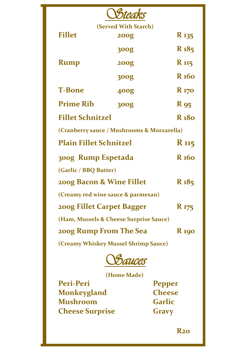| Steak                                  |                                            |                         |
|----------------------------------------|--------------------------------------------|-------------------------|
|                                        | (Served With Starch)                       |                         |
| <b>Fillet</b>                          | <b>200g</b>                                | R 135                   |
|                                        | <b>300g</b>                                | R <sub>185</sub>        |
| <b>Rump</b>                            | <b>200g</b>                                | <b>R</b> 115            |
|                                        | <b>300g</b>                                | R 160                   |
| <b>T-Bone</b>                          | <b>400g</b>                                | <b>R</b> <sub>170</sub> |
| <b>Prime Rib</b>                       | <b>300g</b>                                | <b>R</b> 95             |
| <b>Fillet Schnitzel</b>                |                                            | R 180                   |
|                                        | (Cranberry sauce / Mushrooms & Mozzarella) |                         |
| <b>Plain Fillet Schnitzel</b>          |                                            | <b>R</b> 115            |
| 300g Rump Espetada                     |                                            | R <sub>160</sub>        |
| (Garlic / BBQ Butter)                  |                                            |                         |
| 200g Bacon & Wine Fillet               |                                            | R 185                   |
| (Creamy red wine sauce & parmesan)     |                                            |                         |
| 200g Fillet Carpet Bagger              |                                            | <b>R</b> 175            |
| (Ham, Mussels & Cheese Surprise Sauce) |                                            |                         |
| 200g Rump From The Sea                 |                                            | <b>R</b> 190            |
| (Creamy Whiskey Mussel Shrimp Sauce)   |                                            |                         |



**(Home Made)**

**Peri-Peri Pepper Monkeygland Cheese Mushroom Cheese Surprise Gravy**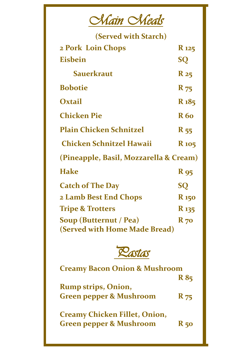| lain (     | $\sim$ $\sim$       |
|------------|---------------------|
| $\sqrt{V}$ | $\mathcal{U}$ reals |
|            |                     |

| (Served with Starch)                   |                  |  |
|----------------------------------------|------------------|--|
| 2 Pork Loin Chops                      | <b>R</b> 125     |  |
| <b>Eisbein</b>                         | <b>SQ</b>        |  |
| Sauerkraut                             | $R_{25}$         |  |
| <b>Bobotie</b>                         | <b>R</b> 75      |  |
| Oxtail                                 | R <sub>185</sub> |  |
| <b>Chicken Pie</b>                     | <b>R</b> 60      |  |
| <b>Plain Chicken Schnitzel</b>         | $R_{55}$         |  |
| <b>Chicken Schnitzel Hawaii</b>        | <b>R</b> 105     |  |
| (Pineapple, Basil, Mozzarella & Cream) |                  |  |
| <b>Hake</b>                            | <b>R</b> 95      |  |
| <b>Catch of The Day</b>                | <b>SQ</b>        |  |
| 2 Lamb Best End Chops                  | <b>R</b> 150     |  |
| <b>Tripe &amp; Trotters</b>            | <b>R</b> 135     |  |
| Soup (Butternut / Pea)                 | $R_{70}$         |  |
| (Served with Home Made Bread)          |                  |  |



| <b>Creamy Bacon Onion &amp; Mushroom</b> |             |
|------------------------------------------|-------------|
|                                          | <b>R</b> 85 |
| <b>Rump strips, Onion,</b>               |             |
| <b>Green pepper &amp; Mushroom</b>       | <b>R</b> 75 |
|                                          |             |
| <b>Creamy Chicken Fillet, Onion,</b>     |             |
| <b>Green pepper &amp; Mushroom</b>       | R 50        |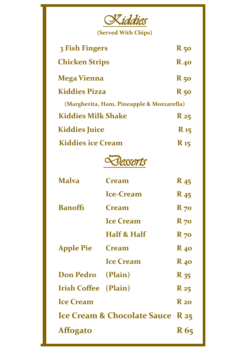

| 3 Fish Fingers                            | $R_{50}$               |  |
|-------------------------------------------|------------------------|--|
| <b>Chicken Strips</b>                     | $R_{40}$               |  |
| <b>Mega Vienna</b>                        | $R_{50}$               |  |
| <b>Kiddies Pizza</b>                      | $R_{50}$               |  |
| (Margherita, Ham, Pineapple & Mozzarella) |                        |  |
| <b>Kiddies Milk Shake</b>                 | $R_{25}$               |  |
| <b>Kiddies Juice</b>                      | <b>R</b> <sub>15</sub> |  |
| <b>Kiddies ice Cream</b>                  | $R_{15}$               |  |



| <b>Malva</b>                     | <b>Cream</b>     | <b>R</b> <sub>45</sub> |
|----------------------------------|------------------|------------------------|
| <b>Banoffi</b>                   | <b>Ice-Cream</b> | <b>R</b> <sub>45</sub> |
|                                  | <b>Cream</b>     | $R_{70}$               |
|                                  | <b>Ice Cream</b> | $R_{70}$               |
| <b>Apple Pie</b>                 | Half & Half      | $R_{70}$               |
|                                  | <b>Cream</b>     | $R_{40}$               |
|                                  | <b>Ice Cream</b> | $R_{40}$               |
| Don Pedro (Plain)                |                  | R 35                   |
| <b>Irish Coffee</b>              | (Plain)          | $R_{25}$               |
| <b>Ice Cream</b>                 |                  | $R_{20}$               |
| Ice Cream & Chocolate Sauce R 25 |                  |                        |
| <b>Affogato</b>                  |                  | R 65                   |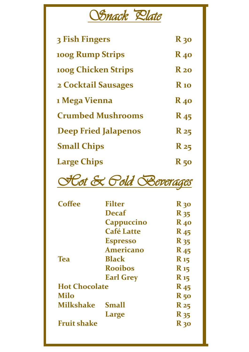## *Snack Plate*

| 3 Fish Fingers              | <b>R</b> 30            |
|-----------------------------|------------------------|
| 100g Rump Strips            | <b>R</b> <sub>40</sub> |
| <b>100g Chicken Strips</b>  | $R_{20}$               |
| 2 Cocktail Sausages         | <b>R</b> 10            |
| 1 Mega Vienna               | $R_{40}$               |
| <b>Crumbed Mushrooms</b>    | <b>R</b> <sub>45</sub> |
| <b>Deep Fried Jalapenos</b> | $R_{25}$               |
| <b>Small Chips</b>          | <b>R</b> 25            |
| <b>Large Chips</b>          | <b>R</b> 50            |



| <b>Coffee</b>        | <b>Filter</b>     | <b>R</b> 30            |
|----------------------|-------------------|------------------------|
|                      | <b>Decaf</b>      | $R_{35}$               |
|                      | <b>Cappuccino</b> | $R_{40}$               |
|                      | <b>Café Latte</b> | <b>R</b> <sub>45</sub> |
|                      | <b>Espresso</b>   | <b>R</b> 35            |
|                      | <b>Americano</b>  | $R_{45}$               |
| <b>Tea</b>           | <b>Black</b>      | $\mathbf{R}$ 15        |
|                      | <b>Rooibos</b>    | <b>R</b> <sub>15</sub> |
|                      | <b>Earl Grey</b>  | $\mathbf{R}$ 15        |
| <b>Hot Chocolate</b> |                   | <b>R</b> <sub>45</sub> |
| <b>Milo</b>          |                   | $R_{50}$               |
| <b>Milkshake</b>     | <b>Small</b>      | $R_{25}$               |
|                      | Large             | R 35                   |
| <b>Fruit shake</b>   |                   | $R_{30}$               |